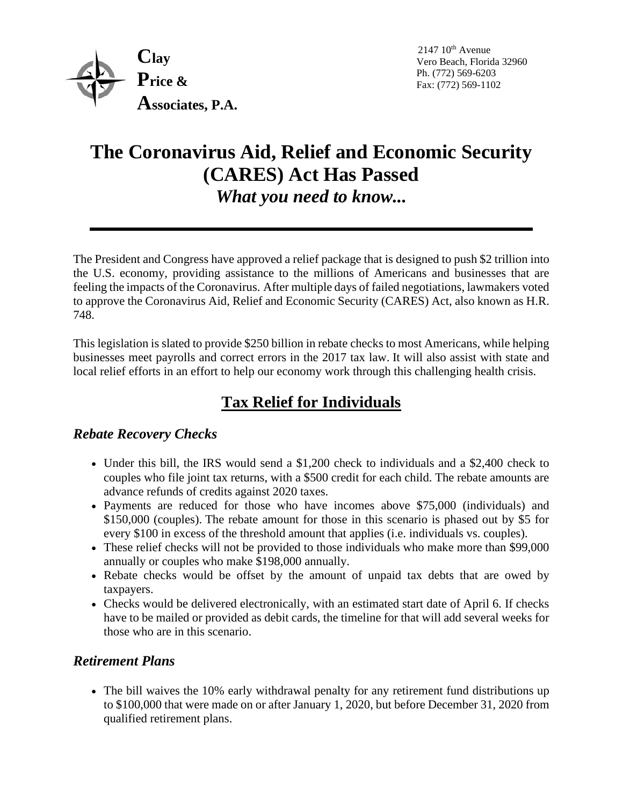

 $2147~10<sup>th</sup>$  Avenue Vero Beach, Florida 32960 Ph. (772) 569-6203 Fax: (772) 569-1102

# **The Coronavirus Aid, Relief and Economic Security (CARES) Act Has Passed** *What you need to know...*

The President and Congress have approved a relief package that is designed to push \$2 trillion into the U.S. economy, providing assistance to the millions of Americans and businesses that are feeling the impacts of the Coronavirus. After multiple days of failed negotiations, lawmakers voted to approve the Coronavirus Aid, Relief and Economic Security (CARES) Act, also known as H.R. 748.

This legislation is slated to provide \$250 billion in rebate checks to most Americans, while helping businesses meet payrolls and correct errors in the 2017 tax law. It will also assist with state and local relief efforts in an effort to help our economy work through this challenging health crisis.

# **Tax Relief for Individuals**

## *Rebate Recovery Checks*

- Under this bill, the IRS would send a \$1,200 check to individuals and a \$2,400 check to couples who file joint tax returns, with a \$500 credit for each child. The rebate amounts are advance refunds of credits against 2020 taxes.
- Payments are reduced for those who have incomes above \$75,000 (individuals) and \$150,000 (couples). The rebate amount for those in this scenario is phased out by \$5 for every \$100 in excess of the threshold amount that applies (i.e. individuals vs. couples).
- These relief checks will not be provided to those individuals who make more than \$99,000 annually or couples who make \$198,000 annually.
- Rebate checks would be offset by the amount of unpaid tax debts that are owed by taxpayers.
- Checks would be delivered electronically, with an estimated start date of April 6. If checks have to be mailed or provided as debit cards, the timeline for that will add several weeks for those who are in this scenario.

## *Retirement Plans*

• The bill waives the 10% early withdrawal penalty for any retirement fund distributions up to \$100,000 that were made on or after January 1, 2020, but before December 31, 2020 from qualified retirement plans.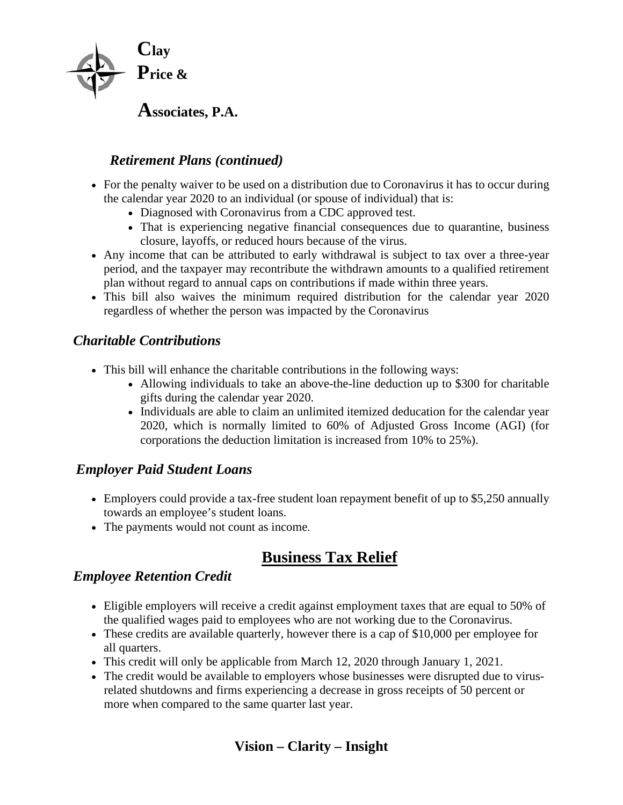

# *Retirement Plans (continued)*

- For the penalty waiver to be used on a distribution due to Coronavirus it has to occur during the calendar year 2020 to an individual (or spouse of individual) that is:
	- Diagnosed with Coronavirus from a CDC approved test.
	- That is experiencing negative financial consequences due to quarantine, business closure, layoffs, or reduced hours because of the virus.
- Any income that can be attributed to early withdrawal is subject to tax over a three-year period, and the taxpayer may recontribute the withdrawn amounts to a qualified retirement plan without regard to annual caps on contributions if made within three years.
- This bill also waives the minimum required distribution for the calendar year 2020 regardless of whether the person was impacted by the Coronavirus

### *Charitable Contributions*

- This bill will enhance the charitable contributions in the following ways:
	- Allowing individuals to take an above-the-line deduction up to \$300 for charitable gifts during the calendar year 2020.
	- Individuals are able to claim an unlimited itemized deducation for the calendar year 2020, which is normally limited to 60% of Adjusted Gross Income (AGI) (for corporations the deduction limitation is increased from 10% to 25%).

## *Employer Paid Student Loans*

- Employers could provide a tax-free student loan repayment benefit of up to \$5,250 annually towards an employee's student loans.
- The payments would not count as income.

# **Business Tax Relief**

#### *Employee Retention Credit*

- Eligible employers will receive a credit against employment taxes that are equal to 50% of the qualified wages paid to employees who are not working due to the Coronavirus.
- These credits are available quarterly, however there is a cap of \$10,000 per employee for all quarters.
- This credit will only be applicable from March 12, 2020 through January 1, 2021.
- The credit would be available to employers whose businesses were disrupted due to virusrelated shutdowns and firms experiencing a decrease in gross receipts of 50 percent or more when compared to the same quarter last year.

# **Vision – Clarity – Insight**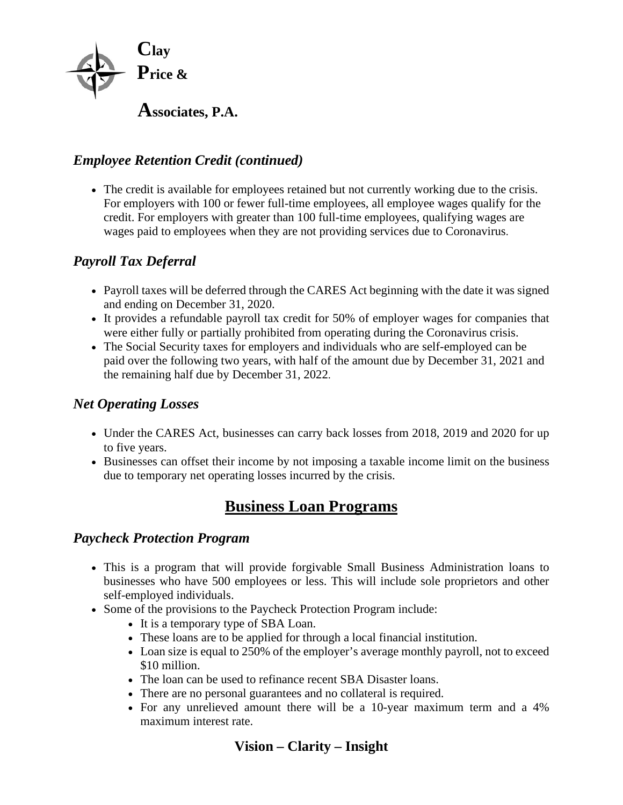

## *Employee Retention Credit (continued)*

• The credit is available for employees retained but not currently working due to the crisis. For employers with 100 or fewer full-time employees, all employee wages qualify for the credit. For employers with greater than 100 full-time employees, qualifying wages are wages paid to employees when they are not providing services due to Coronavirus.

## *Payroll Tax Deferral*

- Payroll taxes will be deferred through the CARES Act beginning with the date it was signed and ending on December 31, 2020.
- It provides a refundable payroll tax credit for 50% of employer wages for companies that were either fully or partially prohibited from operating during the Coronavirus crisis.
- The Social Security taxes for employers and individuals who are self-employed can be paid over the following two years, with half of the amount due by December 31, 2021 and the remaining half due by December 31, 2022.

#### *Net Operating Losses*

- Under the CARES Act, businesses can carry back losses from 2018, 2019 and 2020 for up to five years.
- Businesses can offset their income by not imposing a taxable income limit on the business due to temporary net operating losses incurred by the crisis.

# **Business Loan Programs**

#### *Paycheck Protection Program*

- This is a program that will provide forgivable Small Business Administration loans to businesses who have 500 employees or less. This will include sole proprietors and other self-employed individuals.
- Some of the provisions to the Paycheck Protection Program include:
	- It is a temporary type of SBA Loan.
	- These loans are to be applied for through a local financial institution.
	- Loan size is equal to 250% of the employer's average monthly payroll, not to exceed \$10 million.
	- The loan can be used to refinance recent SBA Disaster loans.
	- There are no personal guarantees and no collateral is required.
	- For any unrelieved amount there will be a 10-year maximum term and a 4% maximum interest rate.

# **Vision – Clarity – Insight**